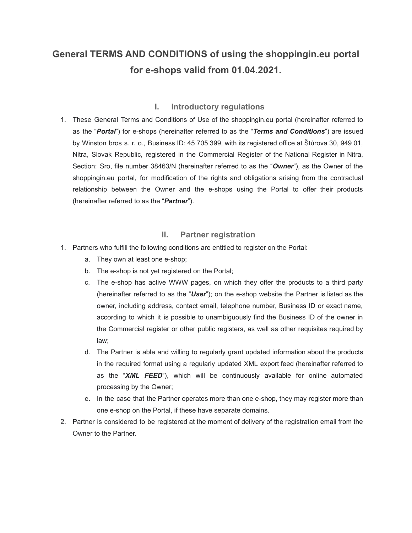# **General TERMS AND CONDITIONS of using the shoppingin.eu portal for e-shops valid from 01.04.2021.**

## **I. Introductory regulations**

1. These General Terms and Conditions of Use of the shoppingin.eu portal (hereinafter referred to as the "*Portal*") for e-shops (hereinafter referred to as the "*Terms and Conditions*") are issued by Winston bros s. r. o., Business ID: 45 705 399, with its registered office at Štúrova 30, 949 01, Nitra, Slovak Republic, registered in the Commercial Register of the National Register in Nitra, Section: Sro, file number 38463/N (hereinafter referred to as the "*Owner*"), as the Owner of the shoppingin.eu portal, for modification of the rights and obligations arising from the contractual relationship between the Owner and the e-shops using the Portal to offer their products (hereinafter referred to as the "*Partner*").

## **II. Partner registration**

- 1. Partners who fulfill the following conditions are entitled to register on the Portal:
	- a. They own at least one e-shop;
	- b. The e-shop is not yet registered on the Portal;
	- c. The e-shop has active WWW pages, on which they offer the products to a third party (hereinafter referred to as the "*User*"); on the e-shop website the Partner is listed as the owner, including address, contact email, telephone number, Business ID or exact name, according to which it is possible to unambiguously find the Business ID of the owner in the Commercial register or other public registers, as well as other requisites required by law;
	- d. The Partner is able and willing to regularly grant updated information about the products in the required format using a regularly updated XML export feed (hereinafter referred to as the "*XML FEED*"), which will be continuously available for online automated processing by the Owner;
	- e. In the case that the Partner operates more than one e-shop, they may register more than one e-shop on the Portal, if these have separate domains.
- 2. Partner is considered to be registered at the moment of delivery of the registration email from the Owner to the Partner.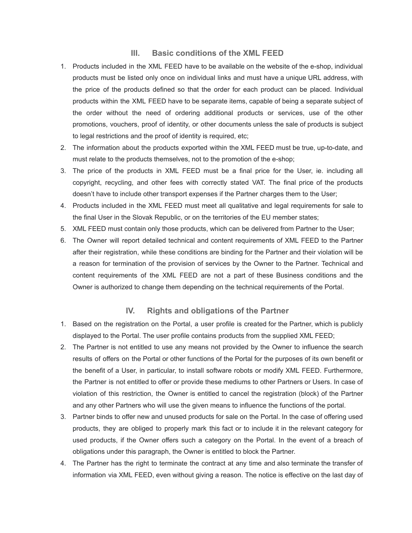## **III. Basic conditions of the XML FEED**

- 1. Products included in the XML FEED have to be available on the website of the e-shop, individual products must be listed only once on individual links and must have a unique URL address, with the price of the products defined so that the order for each product can be placed. Individual products within the XML FEED have to be separate items, capable of being a separate subject of the order without the need of ordering additional products or services, use of the other promotions, vouchers, proof of identity, or other documents unless the sale of products is subject to legal restrictions and the proof of identity is required, etc;
- 2. The information about the products exported within the XML FEED must be true, up-to-date, and must relate to the products themselves, not to the promotion of the e-shop;
- 3. The price of the products in XML FEED must be a final price for the User, ie. including all copyright, recycling, and other fees with correctly stated VAT. The final price of the products doesn't have to include other transport expenses if the Partner charges them to the User;
- 4. Products included in the XML FEED must meet all qualitative and legal requirements for sale to the final User in the Slovak Republic, or on the territories of the EU member states;
- 5. XML FEED must contain only those products, which can be delivered from Partner to the User;
- 6. The Owner will report detailed technical and content requirements of XML FEED to the Partner after their registration, while these conditions are binding for the Partner and their violation will be a reason for termination of the provision of services by the Owner to the Partner. Technical and content requirements of the XML FEED are not a part of these Business conditions and the Owner is authorized to change them depending on the technical requirements of the Portal.

### **IV. Rights and obligations of the Partner**

- 1. Based on the registration on the Portal, a user profile is created for the Partner, which is publicly displayed to the Portal. The user profile contains products from the supplied XML FEED;
- 2. The Partner is not entitled to use any means not provided by the Owner to influence the search results of offers on the Portal or other functions of the Portal for the purposes of its own benefit or the benefit of a User, in particular, to install software robots or modify XML FEED. Furthermore, the Partner is not entitled to offer or provide these mediums to other Partners or Users. In case of violation of this restriction, the Owner is entitled to cancel the registration (block) of the Partner and any other Partners who will use the given means to influence the functions of the portal.
- 3. Partner binds to offer new and unused products for sale on the Portal. In the case of offering used products, they are obliged to properly mark this fact or to include it in the relevant category for used products, if the Owner offers such a category on the Portal. In the event of a breach of obligations under this paragraph, the Owner is entitled to block the Partner.
- 4. The Partner has the right to terminate the contract at any time and also terminate the transfer of information via XML FEED, even without giving a reason. The notice is effective on the last day of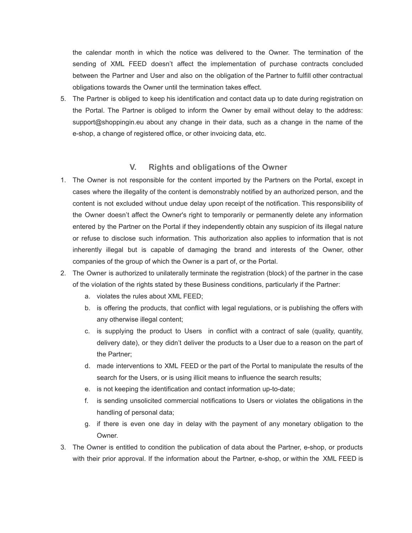the calendar month in which the notice was delivered to the Owner. The termination of the sending of XML FEED doesn't affect the implementation of purchase contracts concluded between the Partner and User and also on the obligation of the Partner to fulfill other contractual obligations towards the Owner until the termination takes effect.

5. The Partner is obliged to keep his identification and contact data up to date during registration on the Portal. The Partner is obliged to inform the Owner by email without delay to the address: support@shoppingin.eu about any change in their data, such as a change in the name of the e-shop, a change of registered office, or other invoicing data, etc.

### **V. Rights and obligations of the Owner**

- 1. The Owner is not responsible for the content imported by the Partners on the Portal, except in cases where the illegality of the content is demonstrably notified by an authorized person, and the content is not excluded without undue delay upon receipt of the notification. This responsibility of the Owner doesn't affect the Owner's right to temporarily or permanently delete any information entered by the Partner on the Portal if they independently obtain any suspicion of its illegal nature or refuse to disclose such information. This authorization also applies to information that is not inherently illegal but is capable of damaging the brand and interests of the Owner, other companies of the group of which the Owner is a part of, or the Portal.
- 2. The Owner is authorized to unilaterally terminate the registration (block) of the partner in the case of the violation of the rights stated by these Business conditions, particularly if the Partner:
	- a. violates the rules about XML FEED;
	- b. is offering the products, that conflict with legal regulations, or is publishing the offers with any otherwise illegal content;
	- c. is supplying the product to Users in conflict with a contract of sale (quality, quantity, delivery date), or they didn't deliver the products to a User due to a reason on the part of the Partner;
	- d. made interventions to XML FEED or the part of the Portal to manipulate the results of the search for the Users, or is using illicit means to influence the search results;
	- e. is not keeping the identification and contact information up-to-date;
	- f. is sending unsolicited commercial notifications to Users or violates the obligations in the handling of personal data;
	- g. if there is even one day in delay with the payment of any monetary obligation to the Owner.
- 3. The Owner is entitled to condition the publication of data about the Partner, e-shop, or products with their prior approval. If the information about the Partner, e-shop, or within the XML FEED is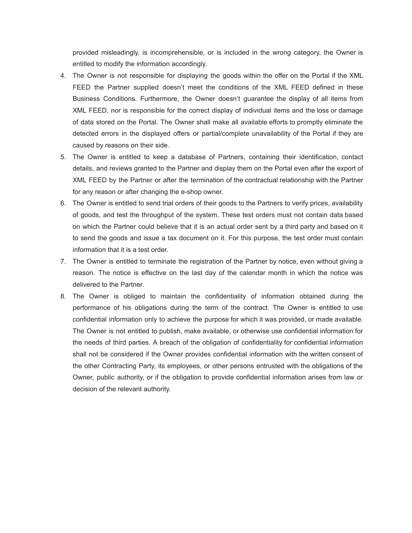provided misleadingly, is incomprehensible, or is included in the wrong category, the Owner is entitled to modify the information accordingly.

- 4. The Owner is not responsible for displaying the goods within the offer on the Portal if the XML FEED the Partner supplied doesn't meet the conditions of the XML FEED defined in these Business Conditions. Furthermore, the Owner doesn't guarantee the display of all items from XML FEED, nor is responsible for the correct display of individual items and the loss or damage of data stored on the Portal. The Owner shall make all available efforts to promptly eliminate the detected errors in the displayed offers or partial/complete unavailability of the Portal if they are caused by reasons on their side.
- 5. The Owner is entitled to keep a database of Partners, containing their identification, contact details, and reviews granted to the Partner and display them on the Portal even after the export of XML FEED by the Partner or after the termination of the contractual relationship with the Partner for any reason or after changing the e-shop owner.
- 6. The Owner is entitled to send trial orders of their goods to the Partners to verify prices, availability of goods, and test the throughput of the system. These test orders must not contain data based on which the Partner could believe that it is an actual order sent by a third party and based on it to send the goods and issue a tax document on it. For this purpose, the test order must contain information that it is a test order.
- 7. The Owner is entitled to terminate the registration of the Partner by notice, even without giving a reason. The notice is effective on the last day of the calendar month in which the notice was delivered to the Partner.
- 8. The Owner is obliged to maintain the confidentiality of information obtained during the performance of his obligations during the term of the contract. The Owner is entitled to use confidential information only to achieve the purpose for which it was provided, or made available. The Owner is not entitled to publish, make available, or otherwise use confidential information for the needs of third parties. A breach of the obligation of confidentiality for confidential information shall not be considered if the Owner provides confidential information with the written consent of the other Contracting Party, its employees, or other persons entrusted with the obligations of the Owner, public authority, or if the obligation to provide confidential information arises from law or decision of the relevant authority.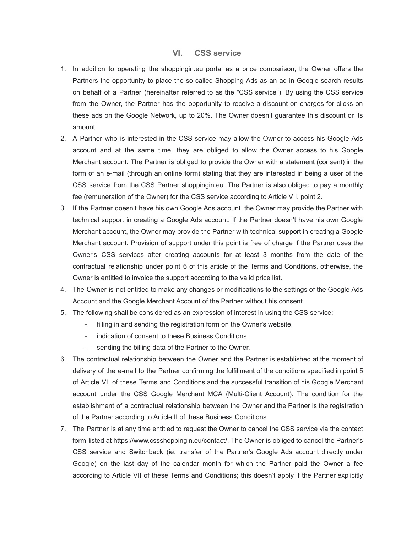#### **VI. CSS service**

- 1. In addition to operating the shoppingin.eu portal as a price comparison, the Owner offers the Partners the opportunity to place the so-called Shopping Ads as an ad in Google search results on behalf of a Partner (hereinafter referred to as the "CSS service"). By using the CSS service from the Owner, the Partner has the opportunity to receive a discount on charges for clicks on these ads on the Google Network, up to 20%. The Owner doesn't guarantee this discount or its amount.
- 2. A Partner who is interested in the CSS service may allow the Owner to access his Google Ads account and at the same time, they are obliged to allow the Owner access to his Google Merchant account. The Partner is obliged to provide the Owner with a statement (consent) in the form of an e-mail (through an online form) stating that they are interested in being a user of the CSS service from the CSS Partner shoppingin.eu. The Partner is also obliged to pay a monthly fee (remuneration of the Owner) for the CSS service according to Article VII. point 2.
- 3. If the Partner doesn't have his own Google Ads account, the Owner may provide the Partner with technical support in creating a Google Ads account. If the Partner doesn't have his own Google Merchant account, the Owner may provide the Partner with technical support in creating a Google Merchant account. Provision of support under this point is free of charge if the Partner uses the Owner's CSS services after creating accounts for at least 3 months from the date of the contractual relationship under point 6 of this article of the Terms and Conditions, otherwise, the Owner is entitled to invoice the support according to the valid price list.
- 4. The Owner is not entitled to make any changes or modifications to the settings of the Google Ads Account and the Google Merchant Account of the Partner without his consent.
- 5. The following shall be considered as an expression of interest in using the CSS service:
	- filling in and sending the registration form on the Owner's website,
	- indication of consent to these Business Conditions,
	- sending the billing data of the Partner to the Owner.
- 6. The contractual relationship between the Owner and the Partner is established at the moment of delivery of the e-mail to the Partner confirming the fulfillment of the conditions specified in point 5 of Article VI. of these Terms and Conditions and the successful transition of his Google Merchant account under the CSS Google Merchant MCA (Multi-Client Account). The condition for the establishment of a contractual relationship between the Owner and the Partner is the registration of the Partner according to Article II of these Business Conditions.
- 7. The Partner is at any time entitled to request the Owner to cancel the CSS service via the contact form listed at https://www.cssshoppingin.eu/contact/. The Owner is obliged to cancel the Partner's CSS service and Switchback (ie. transfer of the Partner's Google Ads account directly under Google) on the last day of the calendar month for which the Partner paid the Owner a fee according to Article VII of these Terms and Conditions; this doesn't apply if the Partner explicitly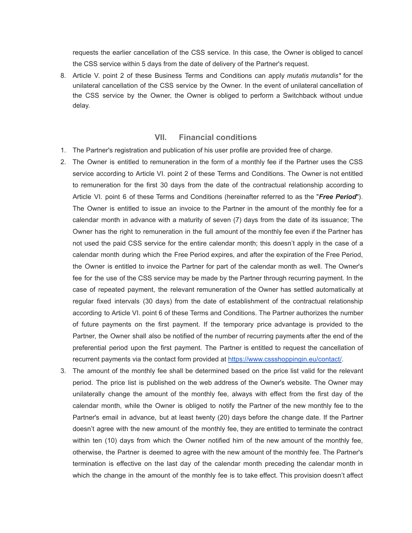requests the earlier cancellation of the CSS service. In this case, the Owner is obliged to cancel the CSS service within 5 days from the date of delivery of the Partner's request.

8. Article V. point 2 of these Business Terms and Conditions can apply *mutatis mutandis\** for the unilateral cancellation of the CSS service by the Owner. In the event of unilateral cancellation of the CSS service by the Owner, the Owner is obliged to perform a Switchback without undue delay.

### **VII. Financial conditions**

- 1. The Partner's registration and publication of his user profile are provided free of charge.
- 2. The Owner is entitled to remuneration in the form of a monthly fee if the Partner uses the CSS service according to Article VI. point 2 of these Terms and Conditions. The Owner is not entitled to remuneration for the first 30 days from the date of the contractual relationship according to Article VI. point 6 of these Terms and Conditions (hereinafter referred to as the "*Free Period*"). The Owner is entitled to issue an invoice to the Partner in the amount of the monthly fee for a calendar month in advance with a maturity of seven (7) days from the date of its issuance; The Owner has the right to remuneration in the full amount of the monthly fee even if the Partner has not used the paid CSS service for the entire calendar month; this doesn't apply in the case of a calendar month during which the Free Period expires, and after the expiration of the Free Period, the Owner is entitled to invoice the Partner for part of the calendar month as well. The Owner's fee for the use of the CSS service may be made by the Partner through recurring payment. In the case of repeated payment, the relevant remuneration of the Owner has settled automatically at regular fixed intervals (30 days) from the date of establishment of the contractual relationship according to Article VI. point 6 of these Terms and Conditions. The Partner authorizes the number of future payments on the first payment. If the temporary price advantage is provided to the Partner, the Owner shall also be notified of the number of recurring payments after the end of the preferential period upon the first payment. The Partner is entitled to request the cancellation of recurrent payments via the contact form provided at <https://www.cssshoppingin.eu/contact/>.
- 3. The amount of the monthly fee shall be determined based on the price list valid for the relevant period. The price list is published on the web address of the Owner's website. The Owner may unilaterally change the amount of the monthly fee, always with effect from the first day of the calendar month, while the Owner is obliged to notify the Partner of the new monthly fee to the Partner's email in advance, but at least twenty (20) days before the change date. If the Partner doesn't agree with the new amount of the monthly fee, they are entitled to terminate the contract within ten (10) days from which the Owner notified him of the new amount of the monthly fee, otherwise, the Partner is deemed to agree with the new amount of the monthly fee. The Partner's termination is effective on the last day of the calendar month preceding the calendar month in which the change in the amount of the monthly fee is to take effect. This provision doesn't affect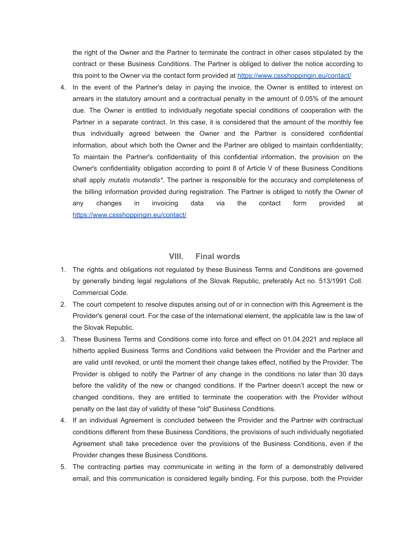the right of the Owner and the Partner to terminate the contract in other cases stipulated by the contract or these Business Conditions. The Partner is obliged to deliver the notice according to this point to the Owner via the contact form provided at <https://www.cssshoppingin.eu/contact/>

4. In the event of the Partner's delay in paying the invoice, the Owner is entitled to interest on arrears in the statutory amount and a contractual penalty in the amount of 0.05% of the amount due. The Owner is entitled to individually negotiate special conditions of cooperation with the Partner in a separate contract. In this case, it is considered that the amount of the monthly fee thus individually agreed between the Owner and the Partner is considered confidential information, about which both the Owner and the Partner are obliged to maintain confidentiality; To maintain the Partner's confidentiality of this confidential information, the provision on the Owner's confidentiality obligation according to point 8 of Article V of these Business Conditions shall apply *mutatis mutandis\**. The partner is responsible for the accuracy and completeness of the billing information provided during registration. The Partner is obliged to notify the Owner of any changes in invoicing data via the contact form provided at <https://www.cssshoppingin.eu/contact/>

#### **VIII. Final words**

- 1. The rights and obligations not regulated by these Business Terms and Conditions are governed by generally binding legal regulations of the Slovak Republic, preferably Act no. 513/1991 Coll. Commercial Code.
- 2. The court competent to resolve disputes arising out of or in connection with this Agreement is the Provider's general court. For the case of the international element, the applicable law is the law of the Slovak Republic.
- 3. These Business Terms and Conditions come into force and effect on 01.04.2021 and replace all hitherto applied Business Terms and Conditions valid between the Provider and the Partner and are valid until revoked, or until the moment their change takes effect, notified by the Provider. The Provider is obliged to notify the Partner of any change in the conditions no later than 30 days before the validity of the new or changed conditions. If the Partner doesn't accept the new or changed conditions, they are entitled to terminate the cooperation with the Provider without penalty on the last day of validity of these "old" Business Conditions.
- 4. If an individual Agreement is concluded between the Provider and the Partner with contractual conditions different from these Business Conditions, the provisions of such individually negotiated Agreement shall take precedence over the provisions of the Business Conditions, even if the Provider changes these Business Conditions.
- 5. The contracting parties may communicate in writing in the form of a demonstrably delivered email, and this communication is considered legally binding. For this purpose, both the Provider